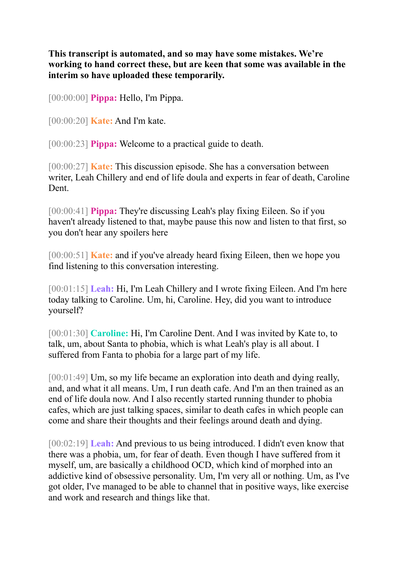**This transcript is automated, and so may have some mistakes. We're working to hand correct these, but are keen that some was available in the interim so have uploaded these temporarily.**

[00:00:00] **Pippa:** Hello, I'm Pippa.

[00:00:20] **Kate:** And I'm kate.

[00:00:23] **Pippa:** Welcome to a practical guide to death.

[00:00:27] **Kate:** This discussion episode. She has a conversation between writer, Leah Chillery and end of life doula and experts in fear of death, Caroline Dent.

[00:00:41] **Pippa:** They're discussing Leah's play fixing Eileen. So if you haven't already listened to that, maybe pause this now and listen to that first, so you don't hear any spoilers here

[00:00:51] **Kate:** and if you've already heard fixing Eileen, then we hope you find listening to this conversation interesting.

[00:01:15] **Leah:** Hi, I'm Leah Chillery and I wrote fixing Eileen. And I'm here today talking to Caroline. Um, hi, Caroline. Hey, did you want to introduce yourself?

[00:01:30] **Caroline:** Hi, I'm Caroline Dent. And I was invited by Kate to, to talk, um, about Santa to phobia, which is what Leah's play is all about. I suffered from Fanta to phobia for a large part of my life.

[00:01:49] Um, so my life became an exploration into death and dying really, and, and what it all means. Um, I run death cafe. And I'm an then trained as an end of life doula now. And I also recently started running thunder to phobia cafes, which are just talking spaces, similar to death cafes in which people can come and share their thoughts and their feelings around death and dying.

[00:02:19] **Leah:** And previous to us being introduced. I didn't even know that there was a phobia, um, for fear of death. Even though I have suffered from it myself, um, are basically a childhood OCD, which kind of morphed into an addictive kind of obsessive personality. Um, I'm very all or nothing. Um, as I've got older, I've managed to be able to channel that in positive ways, like exercise and work and research and things like that.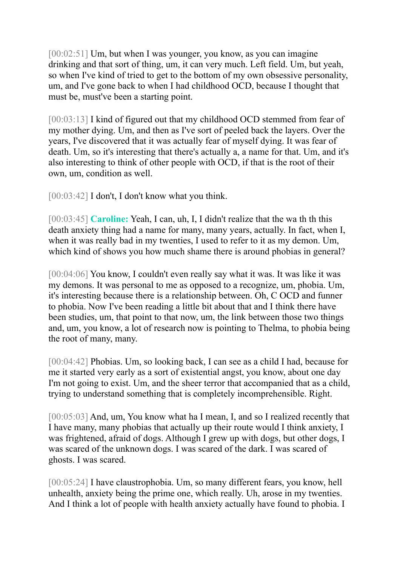[00:02:51] Um, but when I was younger, you know, as you can imagine drinking and that sort of thing, um, it can very much. Left field. Um, but yeah, so when I've kind of tried to get to the bottom of my own obsessive personality, um, and I've gone back to when I had childhood OCD, because I thought that must be, must've been a starting point.

[00:03:13] I kind of figured out that my childhood OCD stemmed from fear of my mother dying. Um, and then as I've sort of peeled back the layers. Over the years, I've discovered that it was actually fear of myself dying. It was fear of death. Um, so it's interesting that there's actually a, a name for that. Um, and it's also interesting to think of other people with OCD, if that is the root of their own, um, condition as well.

[00:03:42] I don't, I don't know what you think.

[00:03:45] **Caroline:** Yeah, I can, uh, I, I didn't realize that the wa th th this death anxiety thing had a name for many, many years, actually. In fact, when I, when it was really bad in my twenties, I used to refer to it as my demon. Um, which kind of shows you how much shame there is around phobias in general?

[00:04:06] You know, I couldn't even really say what it was. It was like it was my demons. It was personal to me as opposed to a recognize, um, phobia. Um, it's interesting because there is a relationship between. Oh, C OCD and funner to phobia. Now I've been reading a little bit about that and I think there have been studies, um, that point to that now, um, the link between those two things and, um, you know, a lot of research now is pointing to Thelma, to phobia being the root of many, many.

[00:04:42] Phobias. Um, so looking back, I can see as a child I had, because for me it started very early as a sort of existential angst, you know, about one day I'm not going to exist. Um, and the sheer terror that accompanied that as a child, trying to understand something that is completely incomprehensible. Right.

[00:05:03] And, um, You know what ha I mean, I, and so I realized recently that I have many, many phobias that actually up their route would I think anxiety, I was frightened, afraid of dogs. Although I grew up with dogs, but other dogs, I was scared of the unknown dogs. I was scared of the dark. I was scared of ghosts. I was scared.

[00:05:24] I have claustrophobia. Um, so many different fears, you know, hell unhealth, anxiety being the prime one, which really. Uh, arose in my twenties. And I think a lot of people with health anxiety actually have found to phobia. I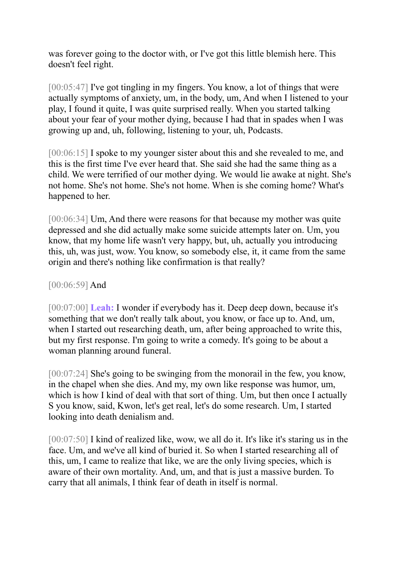was forever going to the doctor with, or I've got this little blemish here. This doesn't feel right.

[00:05:47] I've got tingling in my fingers. You know, a lot of things that were actually symptoms of anxiety, um, in the body, um, And when I listened to your play, I found it quite, I was quite surprised really. When you started talking about your fear of your mother dying, because I had that in spades when I was growing up and, uh, following, listening to your, uh, Podcasts.

[00:06:15] I spoke to my younger sister about this and she revealed to me, and this is the first time I've ever heard that. She said she had the same thing as a child. We were terrified of our mother dying. We would lie awake at night. She's not home. She's not home. She's not home. When is she coming home? What's happened to her.

[00:06:34] Um, And there were reasons for that because my mother was quite depressed and she did actually make some suicide attempts later on. Um, you know, that my home life wasn't very happy, but, uh, actually you introducing this, uh, was just, wow. You know, so somebody else, it, it came from the same origin and there's nothing like confirmation is that really?

## [00:06:59] And

[00:07:00] **Leah:** I wonder if everybody has it. Deep deep down, because it's something that we don't really talk about, you know, or face up to. And, um, when I started out researching death, um, after being approached to write this, but my first response. I'm going to write a comedy. It's going to be about a woman planning around funeral.

[00:07:24] She's going to be swinging from the monorail in the few, you know, in the chapel when she dies. And my, my own like response was humor, um, which is how I kind of deal with that sort of thing. Um, but then once I actually S you know, said, Kwon, let's get real, let's do some research. Um, I started looking into death denialism and.

[00:07:50] I kind of realized like, wow, we all do it. It's like it's staring us in the face. Um, and we've all kind of buried it. So when I started researching all of this, um, I came to realize that like, we are the only living species, which is aware of their own mortality. And, um, and that is just a massive burden. To carry that all animals, I think fear of death in itself is normal.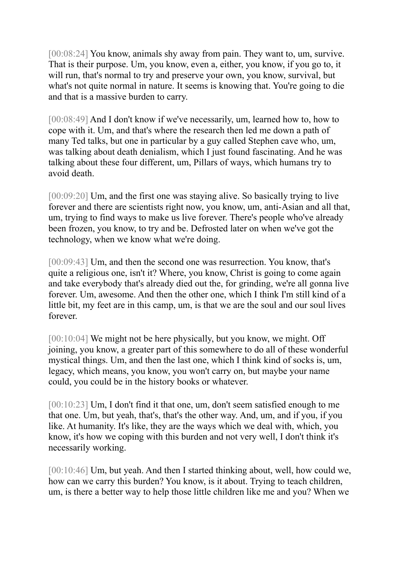[00:08:24] You know, animals shy away from pain. They want to, um, survive. That is their purpose. Um, you know, even a, either, you know, if you go to, it will run, that's normal to try and preserve your own, you know, survival, but what's not quite normal in nature. It seems is knowing that. You're going to die and that is a massive burden to carry.

[00:08:49] And I don't know if we've necessarily, um, learned how to, how to cope with it. Um, and that's where the research then led me down a path of many Ted talks, but one in particular by a guy called Stephen cave who, um, was talking about death denialism, which I just found fascinating. And he was talking about these four different, um, Pillars of ways, which humans try to avoid death.

[00:09:20] Um, and the first one was staying alive. So basically trying to live forever and there are scientists right now, you know, um, anti-Asian and all that, um, trying to find ways to make us live forever. There's people who've already been frozen, you know, to try and be. Defrosted later on when we've got the technology, when we know what we're doing.

[00:09:43] Um, and then the second one was resurrection. You know, that's quite a religious one, isn't it? Where, you know, Christ is going to come again and take everybody that's already died out the, for grinding, we're all gonna live forever. Um, awesome. And then the other one, which I think I'm still kind of a little bit, my feet are in this camp, um, is that we are the soul and our soul lives forever.

[00:10:04] We might not be here physically, but you know, we might. Off joining, you know, a greater part of this somewhere to do all of these wonderful mystical things. Um, and then the last one, which I think kind of socks is, um, legacy, which means, you know, you won't carry on, but maybe your name could, you could be in the history books or whatever.

[00:10:23] Um, I don't find it that one, um, don't seem satisfied enough to me that one. Um, but yeah, that's, that's the other way. And, um, and if you, if you like. At humanity. It's like, they are the ways which we deal with, which, you know, it's how we coping with this burden and not very well, I don't think it's necessarily working.

[00:10:46] Um, but yeah. And then I started thinking about, well, how could we, how can we carry this burden? You know, is it about. Trying to teach children, um, is there a better way to help those little children like me and you? When we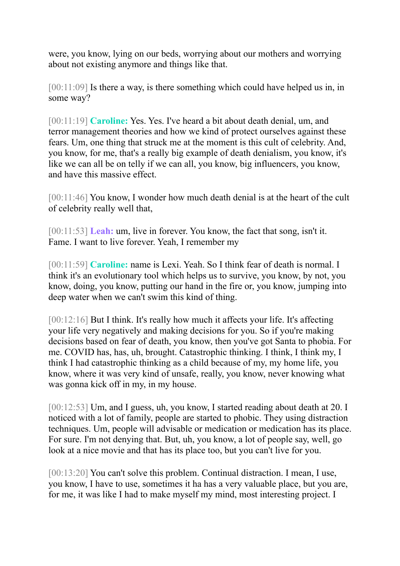were, you know, lying on our beds, worrying about our mothers and worrying about not existing anymore and things like that.

[00:11:09] Is there a way, is there something which could have helped us in, in some way?

[00:11:19] **Caroline:** Yes. Yes. I've heard a bit about death denial, um, and terror management theories and how we kind of protect ourselves against these fears. Um, one thing that struck me at the moment is this cult of celebrity. And, you know, for me, that's a really big example of death denialism, you know, it's like we can all be on telly if we can all, you know, big influencers, you know, and have this massive effect.

[00:11:46] You know, I wonder how much death denial is at the heart of the cult of celebrity really well that,

[00:11:53] **Leah:** um, live in forever. You know, the fact that song, isn't it. Fame. I want to live forever. Yeah, I remember my

[00:11:59] **Caroline:** name is Lexi. Yeah. So I think fear of death is normal. I think it's an evolutionary tool which helps us to survive, you know, by not, you know, doing, you know, putting our hand in the fire or, you know, jumping into deep water when we can't swim this kind of thing.

[00:12:16] But I think. It's really how much it affects your life. It's affecting your life very negatively and making decisions for you. So if you're making decisions based on fear of death, you know, then you've got Santa to phobia. For me. COVID has, has, uh, brought. Catastrophic thinking. I think, I think my, I think I had catastrophic thinking as a child because of my, my home life, you know, where it was very kind of unsafe, really, you know, never knowing what was gonna kick off in my, in my house.

[00:12:53] Um, and I guess, uh, you know, I started reading about death at 20. I noticed with a lot of family, people are started to phobic. They using distraction techniques. Um, people will advisable or medication or medication has its place. For sure. I'm not denying that. But, uh, you know, a lot of people say, well, go look at a nice movie and that has its place too, but you can't live for you.

[00:13:20] You can't solve this problem. Continual distraction. I mean, I use, you know, I have to use, sometimes it ha has a very valuable place, but you are, for me, it was like I had to make myself my mind, most interesting project. I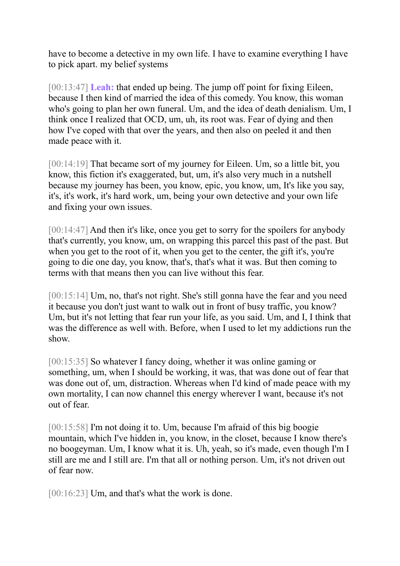have to become a detective in my own life. I have to examine everything I have to pick apart. my belief systems

[00:13:47] **Leah:** that ended up being. The jump off point for fixing Eileen, because I then kind of married the idea of this comedy. You know, this woman who's going to plan her own funeral. Um, and the idea of death denialism. Um, I think once I realized that OCD, um, uh, its root was. Fear of dying and then how I've coped with that over the years, and then also on peeled it and then made peace with it.

[00:14:19] That became sort of my journey for Eileen. Um, so a little bit, you know, this fiction it's exaggerated, but, um, it's also very much in a nutshell because my journey has been, you know, epic, you know, um, It's like you say, it's, it's work, it's hard work, um, being your own detective and your own life and fixing your own issues.

[00:14:47] And then it's like, once you get to sorry for the spoilers for anybody that's currently, you know, um, on wrapping this parcel this past of the past. But when you get to the root of it, when you get to the center, the gift it's, you're going to die one day, you know, that's, that's what it was. But then coming to terms with that means then you can live without this fear.

[00:15:14] Um, no, that's not right. She's still gonna have the fear and you need it because you don't just want to walk out in front of busy traffic, you know? Um, but it's not letting that fear run your life, as you said. Um, and I, I think that was the difference as well with. Before, when I used to let my addictions run the show.

[00:15:35] So whatever I fancy doing, whether it was online gaming or something, um, when I should be working, it was, that was done out of fear that was done out of, um, distraction. Whereas when I'd kind of made peace with my own mortality, I can now channel this energy wherever I want, because it's not out of fear.

[00:15:58] I'm not doing it to. Um, because I'm afraid of this big boogie mountain, which I've hidden in, you know, in the closet, because I know there's no boogeyman. Um, I know what it is. Uh, yeah, so it's made, even though I'm I still are me and I still are. I'm that all or nothing person. Um, it's not driven out of fear now.

[00:16:23] Um, and that's what the work is done.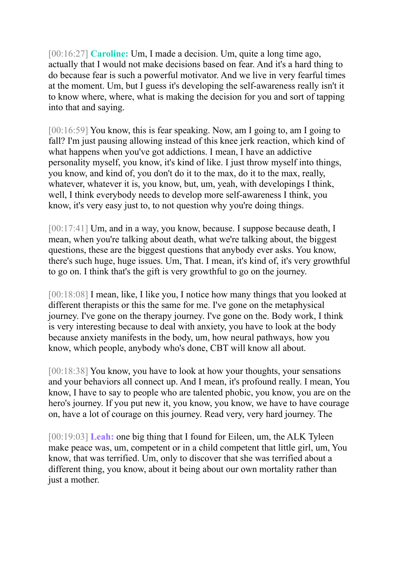[00:16:27] **Caroline:** Um, I made a decision. Um, quite a long time ago, actually that I would not make decisions based on fear. And it's a hard thing to do because fear is such a powerful motivator. And we live in very fearful times at the moment. Um, but I guess it's developing the self-awareness really isn't it to know where, where, what is making the decision for you and sort of tapping into that and saying.

[00:16:59] You know, this is fear speaking. Now, am I going to, am I going to fall? I'm just pausing allowing instead of this knee jerk reaction, which kind of what happens when you've got addictions. I mean, I have an addictive personality myself, you know, it's kind of like. I just throw myself into things, you know, and kind of, you don't do it to the max, do it to the max, really, whatever, whatever it is, you know, but, um, yeah, with developings I think, well, I think everybody needs to develop more self-awareness I think, you know, it's very easy just to, to not question why you're doing things.

[00:17:41] Um, and in a way, you know, because. I suppose because death, I mean, when you're talking about death, what we're talking about, the biggest questions, these are the biggest questions that anybody ever asks. You know, there's such huge, huge issues. Um, That. I mean, it's kind of, it's very growthful to go on. I think that's the gift is very growthful to go on the journey.

[00:18:08] I mean, like, I like you, I notice how many things that you looked at different therapists or this the same for me. I've gone on the metaphysical journey. I've gone on the therapy journey. I've gone on the. Body work, I think is very interesting because to deal with anxiety, you have to look at the body because anxiety manifests in the body, um, how neural pathways, how you know, which people, anybody who's done, CBT will know all about.

[00:18:38] You know, you have to look at how your thoughts, your sensations and your behaviors all connect up. And I mean, it's profound really. I mean, You know, I have to say to people who are talented phobic, you know, you are on the hero's journey. If you put new it, you know, you know, we have to have courage on, have a lot of courage on this journey. Read very, very hard journey. The

[00:19:03] **Leah:** one big thing that I found for Eileen, um, the ALK Tyleen make peace was, um, competent or in a child competent that little girl, um, You know, that was terrified. Um, only to discover that she was terrified about a different thing, you know, about it being about our own mortality rather than just a mother.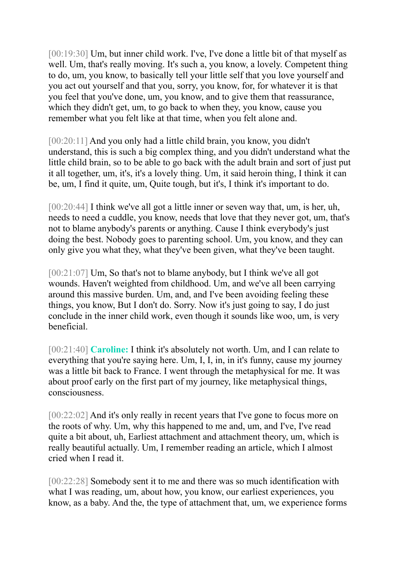[00:19:30] Um, but inner child work. I've, I've done a little bit of that myself as well. Um, that's really moving. It's such a, you know, a lovely. Competent thing to do, um, you know, to basically tell your little self that you love yourself and you act out yourself and that you, sorry, you know, for, for whatever it is that you feel that you've done, um, you know, and to give them that reassurance, which they didn't get, um, to go back to when they, you know, cause you remember what you felt like at that time, when you felt alone and.

[00:20:11] And you only had a little child brain, you know, you didn't understand, this is such a big complex thing, and you didn't understand what the little child brain, so to be able to go back with the adult brain and sort of just put it all together, um, it's, it's a lovely thing. Um, it said heroin thing, I think it can be, um, I find it quite, um, Quite tough, but it's, I think it's important to do.

[00:20:44] I think we've all got a little inner or seven way that, um, is her, uh, needs to need a cuddle, you know, needs that love that they never got, um, that's not to blame anybody's parents or anything. Cause I think everybody's just doing the best. Nobody goes to parenting school. Um, you know, and they can only give you what they, what they've been given, what they've been taught.

[00:21:07] Um, So that's not to blame anybody, but I think we've all got wounds. Haven't weighted from childhood. Um, and we've all been carrying around this massive burden. Um, and, and I've been avoiding feeling these things, you know, But I don't do. Sorry. Now it's just going to say, I do just conclude in the inner child work, even though it sounds like woo, um, is very beneficial.

[00:21:40] **Caroline:** I think it's absolutely not worth. Um, and I can relate to everything that you're saying here. Um, I, I, in, in it's funny, cause my journey was a little bit back to France. I went through the metaphysical for me. It was about proof early on the first part of my journey, like metaphysical things, consciousness.

[00:22:02] And it's only really in recent years that I've gone to focus more on the roots of why. Um, why this happened to me and, um, and I've, I've read quite a bit about, uh, Earliest attachment and attachment theory, um, which is really beautiful actually. Um, I remember reading an article, which I almost cried when I read it.

[00:22:28] Somebody sent it to me and there was so much identification with what I was reading, um, about how, you know, our earliest experiences, you know, as a baby. And the, the type of attachment that, um, we experience forms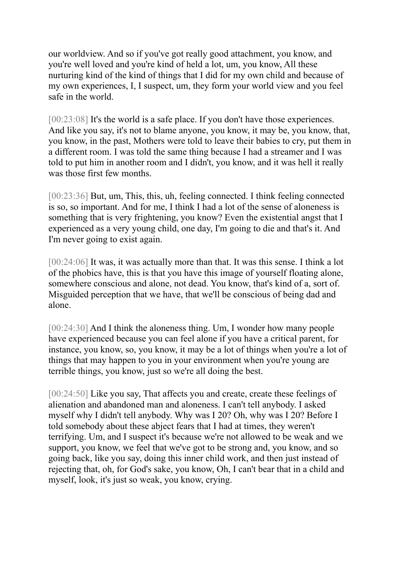our worldview. And so if you've got really good attachment, you know, and you're well loved and you're kind of held a lot, um, you know, All these nurturing kind of the kind of things that I did for my own child and because of my own experiences, I, I suspect, um, they form your world view and you feel safe in the world.

[00:23:08] It's the world is a safe place. If you don't have those experiences. And like you say, it's not to blame anyone, you know, it may be, you know, that, you know, in the past, Mothers were told to leave their babies to cry, put them in a different room. I was told the same thing because I had a streamer and I was told to put him in another room and I didn't, you know, and it was hell it really was those first few months.

[00:23:36] But, um, This, this, uh, feeling connected. I think feeling connected is so, so important. And for me, I think I had a lot of the sense of aloneness is something that is very frightening, you know? Even the existential angst that I experienced as a very young child, one day, I'm going to die and that's it. And I'm never going to exist again.

[00:24:06] It was, it was actually more than that. It was this sense. I think a lot of the phobics have, this is that you have this image of yourself floating alone, somewhere conscious and alone, not dead. You know, that's kind of a, sort of. Misguided perception that we have, that we'll be conscious of being dad and alone.

[00:24:30] And I think the aloneness thing. Um, I wonder how many people have experienced because you can feel alone if you have a critical parent, for instance, you know, so, you know, it may be a lot of things when you're a lot of things that may happen to you in your environment when you're young are terrible things, you know, just so we're all doing the best.

[00:24:50] Like you say, That affects you and create, create these feelings of alienation and abandoned man and aloneness. I can't tell anybody. I asked myself why I didn't tell anybody. Why was I 20? Oh, why was I 20? Before I told somebody about these abject fears that I had at times, they weren't terrifying. Um, and I suspect it's because we're not allowed to be weak and we support, you know, we feel that we've got to be strong and, you know, and so going back, like you say, doing this inner child work, and then just instead of rejecting that, oh, for God's sake, you know, Oh, I can't bear that in a child and myself, look, it's just so weak, you know, crying.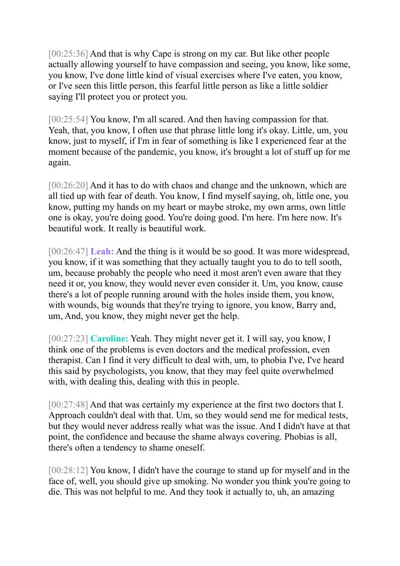[00:25:36] And that is why Cape is strong on my car. But like other people actually allowing yourself to have compassion and seeing, you know, like some, you know, I've done little kind of visual exercises where I've eaten, you know, or I've seen this little person, this fearful little person as like a little soldier saying I'll protect you or protect you.

[00:25:54] You know, I'm all scared. And then having compassion for that. Yeah, that, you know, I often use that phrase little long it's okay. Little, um, you know, just to myself, if I'm in fear of something is like I experienced fear at the moment because of the pandemic, you know, it's brought a lot of stuff up for me again.

[00:26:20] And it has to do with chaos and change and the unknown, which are all tied up with fear of death. You know, I find myself saying, oh, little one, you know, putting my hands on my heart or maybe stroke, my own arms, own little one is okay, you're doing good. You're doing good. I'm here. I'm here now. It's beautiful work. It really is beautiful work.

[00:26:47] **Leah:** And the thing is it would be so good. It was more widespread, you know, if it was something that they actually taught you to do to tell sooth, um, because probably the people who need it most aren't even aware that they need it or, you know, they would never even consider it. Um, you know, cause there's a lot of people running around with the holes inside them, you know, with wounds, big wounds that they're trying to ignore, you know, Barry and, um, And, you know, they might never get the help.

[00:27:23] **Caroline:** Yeah. They might never get it. I will say, you know, I think one of the problems is even doctors and the medical profession, even therapist. Can I find it very difficult to deal with, um, to phobia I've, I've heard this said by psychologists, you know, that they may feel quite overwhelmed with, with dealing this, dealing with this in people.

[00:27:48] And that was certainly my experience at the first two doctors that I. Approach couldn't deal with that. Um, so they would send me for medical tests, but they would never address really what was the issue. And I didn't have at that point, the confidence and because the shame always covering. Phobias is all, there's often a tendency to shame oneself.

[00:28:12] You know, I didn't have the courage to stand up for myself and in the face of, well, you should give up smoking. No wonder you think you're going to die. This was not helpful to me. And they took it actually to, uh, an amazing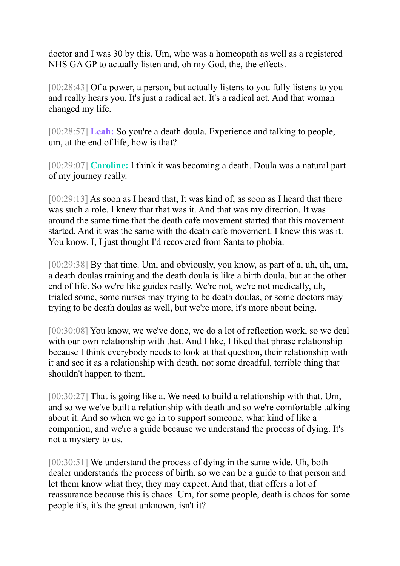doctor and I was 30 by this. Um, who was a homeopath as well as a registered NHS GA GP to actually listen and, oh my God, the, the effects.

[00:28:43] Of a power, a person, but actually listens to you fully listens to you and really hears you. It's just a radical act. It's a radical act. And that woman changed my life.

[00:28:57] **Leah:** So you're a death doula. Experience and talking to people, um, at the end of life, how is that?

[00:29:07] **Caroline:** I think it was becoming a death. Doula was a natural part of my journey really.

[00:29:13] As soon as I heard that, It was kind of, as soon as I heard that there was such a role. I knew that that was it. And that was my direction. It was around the same time that the death cafe movement started that this movement started. And it was the same with the death cafe movement. I knew this was it. You know, I, I just thought I'd recovered from Santa to phobia.

[00:29:38] By that time. Um, and obviously, you know, as part of a, uh, uh, um, a death doulas training and the death doula is like a birth doula, but at the other end of life. So we're like guides really. We're not, we're not medically, uh, trialed some, some nurses may trying to be death doulas, or some doctors may trying to be death doulas as well, but we're more, it's more about being.

[00:30:08] You know, we we've done, we do a lot of reflection work, so we deal with our own relationship with that. And I like, I liked that phrase relationship because I think everybody needs to look at that question, their relationship with it and see it as a relationship with death, not some dreadful, terrible thing that shouldn't happen to them.

[00:30:27] That is going like a. We need to build a relationship with that. Um, and so we we've built a relationship with death and so we're comfortable talking about it. And so when we go in to support someone, what kind of like a companion, and we're a guide because we understand the process of dying. It's not a mystery to us.

[00:30:51] We understand the process of dying in the same wide. Uh, both dealer understands the process of birth, so we can be a guide to that person and let them know what they, they may expect. And that, that offers a lot of reassurance because this is chaos. Um, for some people, death is chaos for some people it's, it's the great unknown, isn't it?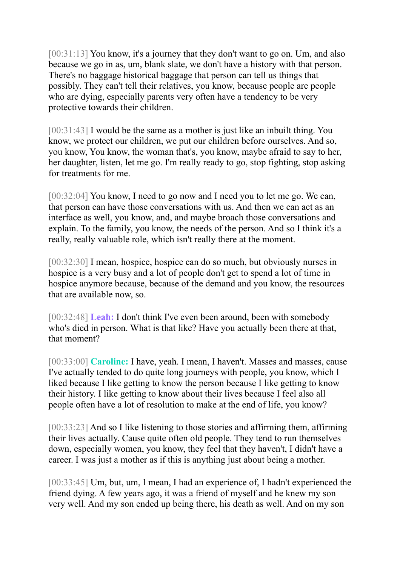[00:31:13] You know, it's a journey that they don't want to go on. Um, and also because we go in as, um, blank slate, we don't have a history with that person. There's no baggage historical baggage that person can tell us things that possibly. They can't tell their relatives, you know, because people are people who are dying, especially parents very often have a tendency to be very protective towards their children.

[00:31:43] I would be the same as a mother is just like an inbuilt thing. You know, we protect our children, we put our children before ourselves. And so, you know, You know, the woman that's, you know, maybe afraid to say to her, her daughter, listen, let me go. I'm really ready to go, stop fighting, stop asking for treatments for me.

[00:32:04] You know, I need to go now and I need you to let me go. We can, that person can have those conversations with us. And then we can act as an interface as well, you know, and, and maybe broach those conversations and explain. To the family, you know, the needs of the person. And so I think it's a really, really valuable role, which isn't really there at the moment.

[00:32:30] I mean, hospice, hospice can do so much, but obviously nurses in hospice is a very busy and a lot of people don't get to spend a lot of time in hospice anymore because, because of the demand and you know, the resources that are available now, so.

[00:32:48] **Leah:** I don't think I've even been around, been with somebody who's died in person. What is that like? Have you actually been there at that, that moment?

[00:33:00] **Caroline:** I have, yeah. I mean, I haven't. Masses and masses, cause I've actually tended to do quite long journeys with people, you know, which I liked because I like getting to know the person because I like getting to know their history. I like getting to know about their lives because I feel also all people often have a lot of resolution to make at the end of life, you know?

[00:33:23] And so I like listening to those stories and affirming them, affirming their lives actually. Cause quite often old people. They tend to run themselves down, especially women, you know, they feel that they haven't, I didn't have a career. I was just a mother as if this is anything just about being a mother.

[00:33:45] Um, but, um, I mean, I had an experience of, I hadn't experienced the friend dying. A few years ago, it was a friend of myself and he knew my son very well. And my son ended up being there, his death as well. And on my son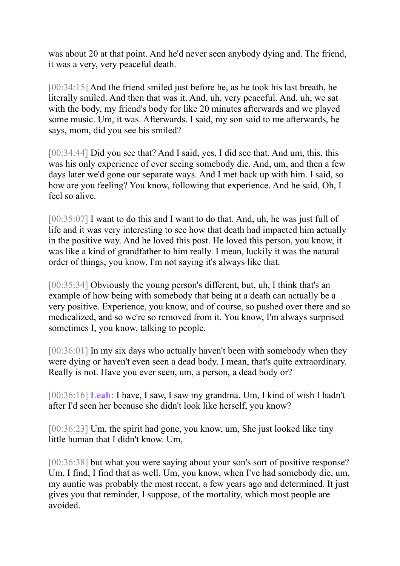was about 20 at that point. And he'd never seen anybody dying and. The friend, it was a very, very peaceful death.

[00:34:15] And the friend smiled just before he, as he took his last breath, he literally smiled. And then that was it. And, uh, very peaceful. And, uh, we sat with the body, my friend's body for like 20 minutes afterwards and we played some music. Um, it was. Afterwards. I said, my son said to me afterwards, he says, mom, did you see his smiled?

[00:34:44] Did you see that? And I said, yes, I did see that. And um, this, this was his only experience of ever seeing somebody die. And, um, and then a few days later we'd gone our separate ways. And I met back up with him. I said, so how are you feeling? You know, following that experience. And he said, Oh, I feel so alive.

[00:35:07] I want to do this and I want to do that. And, uh, he was just full of life and it was very interesting to see how that death had impacted him actually in the positive way. And he loved this post. He loved this person, you know, it was like a kind of grandfather to him really. I mean, luckily it was the natural order of things, you know, I'm not saying it's always like that.

[00:35:34] Obviously the young person's different, but, uh, I think that's an example of how being with somebody that being at a death can actually be a very positive. Experience, you know, and of course, so pushed over there and so medicalized, and so we're so removed from it. You know, I'm always surprised sometimes I, you know, talking to people.

[00:36:01] In my six days who actually haven't been with somebody when they were dying or haven't even seen a dead body. I mean, that's quite extraordinary. Really is not. Have you ever seen, um, a person, a dead body or?

[00:36:16] **Leah:** I have, I saw, I saw my grandma. Um, I kind of wish I hadn't after I'd seen her because she didn't look like herself, you know?

[00:36:23] Um, the spirit had gone, you know, um, She just looked like tiny little human that I didn't know. Um,

[00:36:38] but what you were saying about your son's sort of positive response? Um, I find, I find that as well. Um, you know, when I've had somebody die, um, my auntie was probably the most recent, a few years ago and determined. It just gives you that reminder, I suppose, of the mortality, which most people are avoided.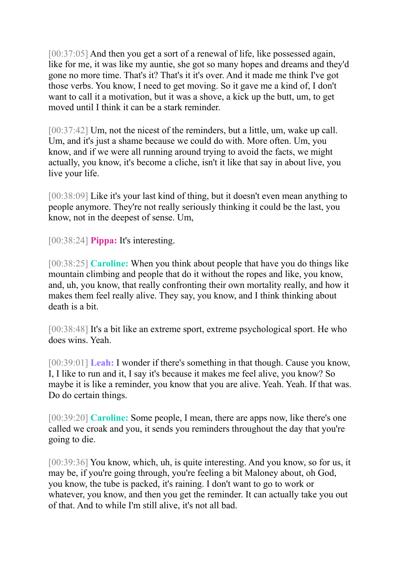[00:37:05] And then you get a sort of a renewal of life, like possessed again, like for me, it was like my auntie, she got so many hopes and dreams and they'd gone no more time. That's it? That's it it's over. And it made me think I've got those verbs. You know, I need to get moving. So it gave me a kind of, I don't want to call it a motivation, but it was a shove, a kick up the butt, um, to get moved until I think it can be a stark reminder.

[00:37:42] Um, not the nicest of the reminders, but a little, um, wake up call. Um, and it's just a shame because we could do with. More often. Um, you know, and if we were all running around trying to avoid the facts, we might actually, you know, it's become a cliche, isn't it like that say in about live, you live your life.

[00:38:09] Like it's your last kind of thing, but it doesn't even mean anything to people anymore. They're not really seriously thinking it could be the last, you know, not in the deepest of sense. Um,

[00:38:24] **Pippa:** It's interesting.

[00:38:25] **Caroline:** When you think about people that have you do things like mountain climbing and people that do it without the ropes and like, you know, and, uh, you know, that really confronting their own mortality really, and how it makes them feel really alive. They say, you know, and I think thinking about death is a bit.

[00:38:48] It's a bit like an extreme sport, extreme psychological sport. He who does wins. Yeah.

[00:39:01] **Leah:** I wonder if there's something in that though. Cause you know, I, I like to run and it, I say it's because it makes me feel alive, you know? So maybe it is like a reminder, you know that you are alive. Yeah. Yeah. If that was. Do do certain things.

[00:39:20] **Caroline:** Some people, I mean, there are apps now, like there's one called we croak and you, it sends you reminders throughout the day that you're going to die.

[00:39:36] You know, which, uh, is quite interesting. And you know, so for us, it may be, if you're going through, you're feeling a bit Maloney about, oh God, you know, the tube is packed, it's raining. I don't want to go to work or whatever, you know, and then you get the reminder. It can actually take you out of that. And to while I'm still alive, it's not all bad.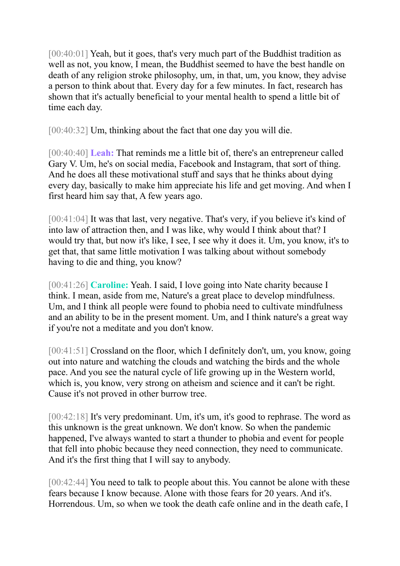[00:40:01] Yeah, but it goes, that's very much part of the Buddhist tradition as well as not, you know, I mean, the Buddhist seemed to have the best handle on death of any religion stroke philosophy, um, in that, um, you know, they advise a person to think about that. Every day for a few minutes. In fact, research has shown that it's actually beneficial to your mental health to spend a little bit of time each day.

[00:40:32] Um, thinking about the fact that one day you will die.

[00:40:40] **Leah:** That reminds me a little bit of, there's an entrepreneur called Gary V. Um, he's on social media, Facebook and Instagram, that sort of thing. And he does all these motivational stuff and says that he thinks about dying every day, basically to make him appreciate his life and get moving. And when I first heard him say that, A few years ago.

[00:41:04] It was that last, very negative. That's very, if you believe it's kind of into law of attraction then, and I was like, why would I think about that? I would try that, but now it's like, I see, I see why it does it. Um, you know, it's to get that, that same little motivation I was talking about without somebody having to die and thing, you know?

[00:41:26] **Caroline:** Yeah. I said, I love going into Nate charity because I think. I mean, aside from me, Nature's a great place to develop mindfulness. Um, and I think all people were found to phobia need to cultivate mindfulness and an ability to be in the present moment. Um, and I think nature's a great way if you're not a meditate and you don't know.

[00:41:51] Crossland on the floor, which I definitely don't, um, you know, going out into nature and watching the clouds and watching the birds and the whole pace. And you see the natural cycle of life growing up in the Western world, which is, you know, very strong on atheism and science and it can't be right. Cause it's not proved in other burrow tree.

[00:42:18] It's very predominant. Um, it's um, it's good to rephrase. The word as this unknown is the great unknown. We don't know. So when the pandemic happened, I've always wanted to start a thunder to phobia and event for people that fell into phobic because they need connection, they need to communicate. And it's the first thing that I will say to anybody.

[00:42:44] You need to talk to people about this. You cannot be alone with these fears because I know because. Alone with those fears for 20 years. And it's. Horrendous. Um, so when we took the death cafe online and in the death cafe, I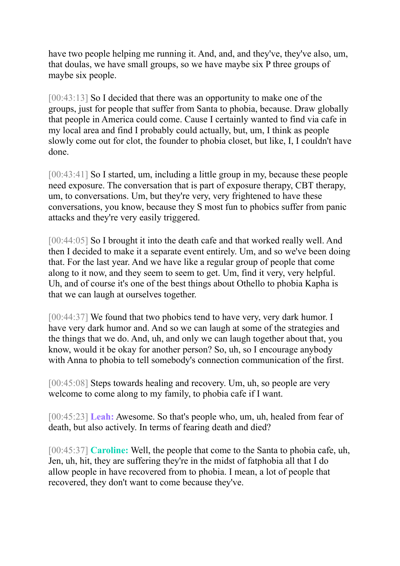have two people helping me running it. And, and, and they've, they've also, um, that doulas, we have small groups, so we have maybe six P three groups of maybe six people.

[00:43:13] So I decided that there was an opportunity to make one of the groups, just for people that suffer from Santa to phobia, because. Draw globally that people in America could come. Cause I certainly wanted to find via cafe in my local area and find I probably could actually, but, um, I think as people slowly come out for clot, the founder to phobia closet, but like, I, I couldn't have done.

[00:43:41] So I started, um, including a little group in my, because these people need exposure. The conversation that is part of exposure therapy, CBT therapy, um, to conversations. Um, but they're very, very frightened to have these conversations, you know, because they S most fun to phobics suffer from panic attacks and they're very easily triggered.

[00:44:05] So I brought it into the death cafe and that worked really well. And then I decided to make it a separate event entirely. Um, and so we've been doing that. For the last year. And we have like a regular group of people that come along to it now, and they seem to seem to get. Um, find it very, very helpful. Uh, and of course it's one of the best things about Othello to phobia Kapha is that we can laugh at ourselves together.

[00:44:37] We found that two phobics tend to have very, very dark humor. I have very dark humor and. And so we can laugh at some of the strategies and the things that we do. And, uh, and only we can laugh together about that, you know, would it be okay for another person? So, uh, so I encourage anybody with Anna to phobia to tell somebody's connection communication of the first.

[00:45:08] Steps towards healing and recovery. Um, uh, so people are very welcome to come along to my family, to phobia cafe if I want.

[00:45:23] **Leah:** Awesome. So that's people who, um, uh, healed from fear of death, but also actively. In terms of fearing death and died?

[00:45:37] **Caroline:** Well, the people that come to the Santa to phobia cafe, uh, Jen, uh, hit, they are suffering they're in the midst of fatphobia all that I do allow people in have recovered from to phobia. I mean, a lot of people that recovered, they don't want to come because they've.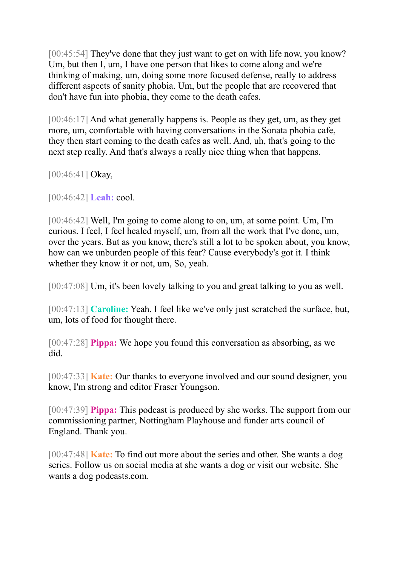[00:45:54] They've done that they just want to get on with life now, you know? Um, but then I, um, I have one person that likes to come along and we're thinking of making, um, doing some more focused defense, really to address different aspects of sanity phobia. Um, but the people that are recovered that don't have fun into phobia, they come to the death cafes.

[00:46:17] And what generally happens is. People as they get, um, as they get more, um, comfortable with having conversations in the Sonata phobia cafe, they then start coming to the death cafes as well. And, uh, that's going to the next step really. And that's always a really nice thing when that happens.

[00:46:41] Okay,

[00:46:42] **Leah:** cool.

[00:46:42] Well, I'm going to come along to on, um, at some point. Um, I'm curious. I feel, I feel healed myself, um, from all the work that I've done, um, over the years. But as you know, there's still a lot to be spoken about, you know, how can we unburden people of this fear? Cause everybody's got it. I think whether they know it or not, um, So, yeah.

[00:47:08] Um, it's been lovely talking to you and great talking to you as well.

[00:47:13] **Caroline:** Yeah. I feel like we've only just scratched the surface, but, um, lots of food for thought there.

[00:47:28] **Pippa:** We hope you found this conversation as absorbing, as we did.

[00:47:33] **Kate:** Our thanks to everyone involved and our sound designer, you know, I'm strong and editor Fraser Youngson.

[00:47:39] **Pippa:** This podcast is produced by she works. The support from our commissioning partner, Nottingham Playhouse and funder arts council of England. Thank you.

[00:47:48] **Kate:** To find out more about the series and other. She wants a dog series. Follow us on social media at she wants a dog or visit our website. She wants a dog podcasts.com.